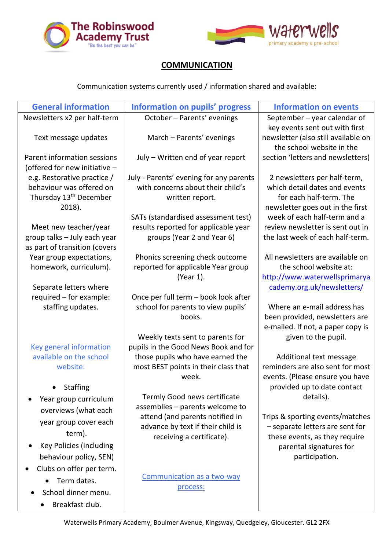



## **COMMUNICATION**

Communication systems currently used / information shared and available:

| <b>General information</b>                         | <b>Information on pupils' progress</b>                                | <b>Information on events</b>                                        |
|----------------------------------------------------|-----------------------------------------------------------------------|---------------------------------------------------------------------|
| Newsletters x2 per half-term                       | October - Parents' evenings                                           | September $-$ year calendar of                                      |
|                                                    |                                                                       | key events sent out with first                                      |
| Text message updates                               | March - Parents' evenings                                             | newsletter (also still available on<br>the school website in the    |
| Parent information sessions                        | July - Written end of year report                                     | section 'letters and newsletters)                                   |
| (offered for new initiative -                      |                                                                       |                                                                     |
| e.g. Restorative practice /                        | July - Parents' evening for any parents                               | 2 newsletters per half-term,                                        |
| behaviour was offered on                           | with concerns about their child's                                     | which detail dates and events                                       |
| Thursday 13 <sup>th</sup> December<br>2018).       | written report.                                                       | for each half-term. The<br>newsletter goes out in the first         |
|                                                    | SATs (standardised assessment test)                                   | week of each half-term and a                                        |
| Meet new teacher/year                              | results reported for applicable year                                  | review newsletter is sent out in                                    |
| group talks - July each year                       | groups (Year 2 and Year 6)                                            | the last week of each half-term.                                    |
| as part of transition (covers                      |                                                                       |                                                                     |
| Year group expectations,<br>homework, curriculum). | Phonics screening check outcome<br>reported for applicable Year group | All newsletters are available on<br>the school website at:          |
|                                                    | (Year 1).                                                             | http://www.waterwellsprimarya                                       |
| Separate letters where                             |                                                                       | cademy.org.uk/newsletters/                                          |
| required - for example:                            | Once per full term - book look after                                  |                                                                     |
| staffing updates.                                  | school for parents to view pupils'                                    | Where an e-mail address has                                         |
|                                                    | books.                                                                | been provided, newsletters are<br>e-mailed. If not, a paper copy is |
|                                                    | Weekly texts sent to parents for                                      | given to the pupil.                                                 |
| Key general information                            | pupils in the Good News Book and for                                  |                                                                     |
| available on the school                            | those pupils who have earned the                                      | Additional text message                                             |
| website:                                           | most BEST points in their class that                                  | reminders are also sent for most                                    |
| <b>Staffing</b>                                    | week.                                                                 | events. (Please ensure you have<br>provided up to date contact      |
| Year group curriculum                              | Termly Good news certificate                                          | details).                                                           |
| overviews (what each                               | assemblies - parents welcome to                                       |                                                                     |
| year group cover each                              | attend (and parents notified in                                       | Trips & sporting events/matches                                     |
| term).                                             | advance by text if their child is                                     | - separate letters are sent for                                     |
| Key Policies (including                            | receiving a certificate).                                             | these events, as they require<br>parental signatures for            |
| behaviour policy, SEN)                             |                                                                       | participation.                                                      |
| Clubs on offer per term.                           |                                                                       |                                                                     |
| Term dates.                                        | Communication as a two-way                                            |                                                                     |
| School dinner menu.                                | process:                                                              |                                                                     |
| Breakfast club.                                    |                                                                       |                                                                     |